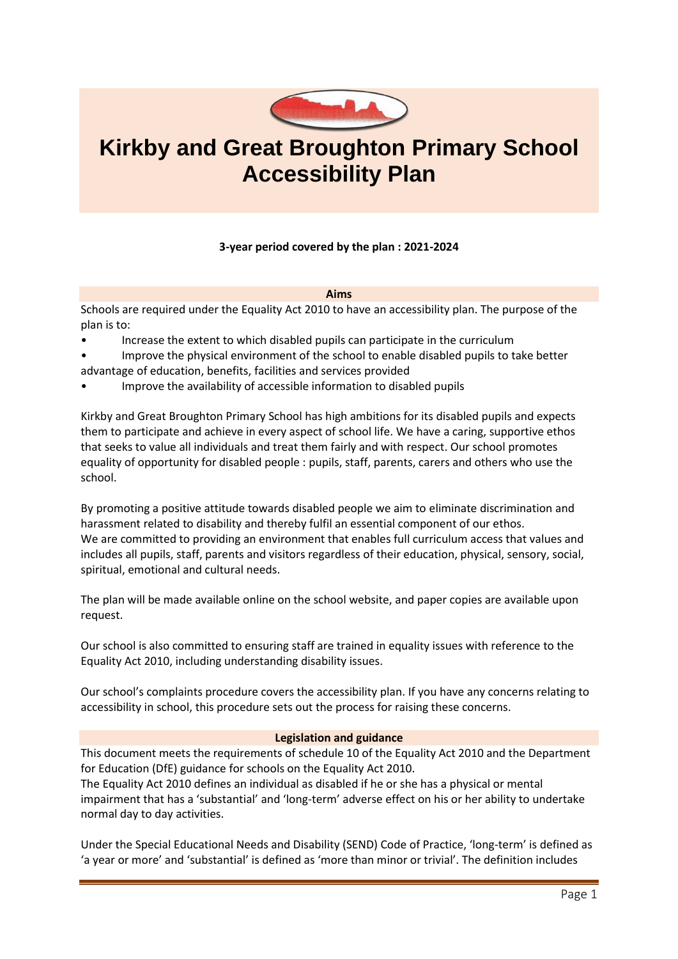

# **Kirkby and Great Broughton Primary School Accessibility Plan**

# **3-year period covered by the plan : 2021-2024**

**Aims**

Schools are required under the Equality Act 2010 to have an accessibility plan. The purpose of the plan is to:

- Increase the extent to which disabled pupils can participate in the curriculum
- Improve the physical environment of the school to enable disabled pupils to take better advantage of education, benefits, facilities and services provided
- Improve the availability of accessible information to disabled pupils

Kirkby and Great Broughton Primary School has high ambitions for its disabled pupils and expects them to participate and achieve in every aspect of school life. We have a caring, supportive ethos that seeks to value all individuals and treat them fairly and with respect. Our school promotes equality of opportunity for disabled people : pupils, staff, parents, carers and others who use the school.

By promoting a positive attitude towards disabled people we aim to eliminate discrimination and harassment related to disability and thereby fulfil an essential component of our ethos. We are committed to providing an environment that enables full curriculum access that values and includes all pupils, staff, parents and visitors regardless of their education, physical, sensory, social, spiritual, emotional and cultural needs.

The plan will be made available online on the school website, and paper copies are available upon request.

Our school is also committed to ensuring staff are trained in equality issues with reference to the Equality Act 2010, including understanding disability issues.

Our school's complaints procedure covers the accessibility plan. If you have any concerns relating to accessibility in school, this procedure sets out the process for raising these concerns.

#### **Legislation and guidance**

This document meets the requirements of schedule 10 of the Equality Act 2010 and the Department for Education (DfE) guidance for schools on the Equality Act 2010.

The Equality Act 2010 defines an individual as disabled if he or she has a physical or mental impairment that has a 'substantial' and 'long-term' adverse effect on his or her ability to undertake normal day to day activities.

Under the Special Educational Needs and Disability (SEND) Code of Practice, 'long-term' is defined as 'a year or more' and 'substantial' is defined as 'more than minor or trivial'. The definition includes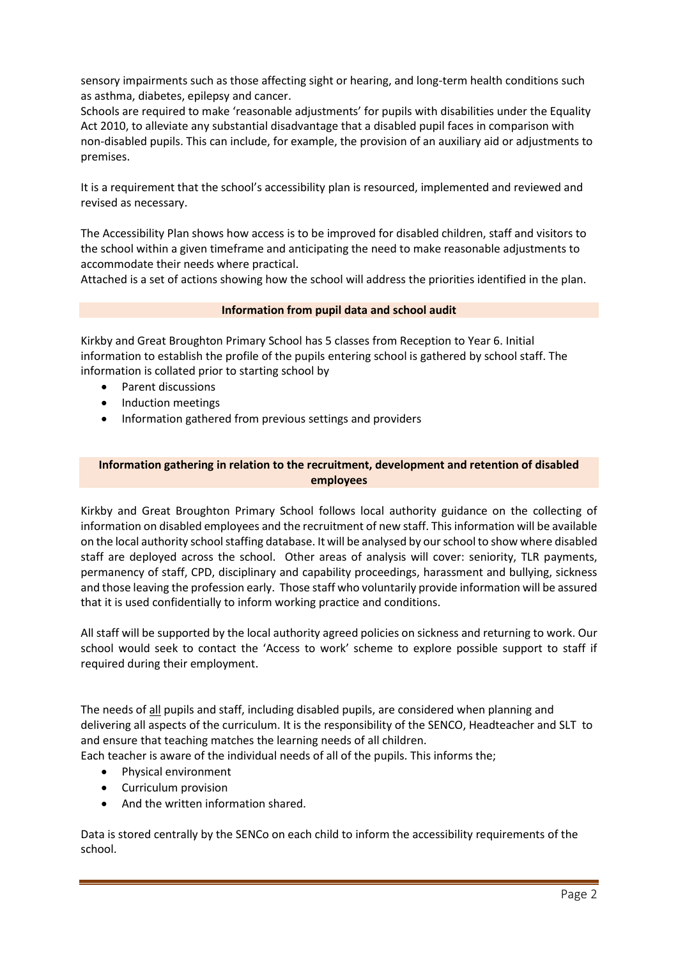sensory impairments such as those affecting sight or hearing, and long-term health conditions such as asthma, diabetes, epilepsy and cancer.

Schools are required to make 'reasonable adjustments' for pupils with disabilities under the Equality Act 2010, to alleviate any substantial disadvantage that a disabled pupil faces in comparison with non-disabled pupils. This can include, for example, the provision of an auxiliary aid or adjustments to premises.

It is a requirement that the school's accessibility plan is resourced, implemented and reviewed and revised as necessary.

The Accessibility Plan shows how access is to be improved for disabled children, staff and visitors to the school within a given timeframe and anticipating the need to make reasonable adjustments to accommodate their needs where practical.

Attached is a set of actions showing how the school will address the priorities identified in the plan.

#### **Information from pupil data and school audit**

Kirkby and Great Broughton Primary School has 5 classes from Reception to Year 6. Initial information to establish the profile of the pupils entering school is gathered by school staff. The information is collated prior to starting school by

- Parent discussions
- Induction meetings
- Information gathered from previous settings and providers

### **Information gathering in relation to the recruitment, development and retention of disabled employees**

Kirkby and Great Broughton Primary School follows local authority guidance on the collecting of information on disabled employees and the recruitment of new staff. This information will be available on the local authority school staffing database. It will be analysed by our school to show where disabled staff are deployed across the school. Other areas of analysis will cover: seniority, TLR payments, permanency of staff, CPD, disciplinary and capability proceedings, harassment and bullying, sickness and those leaving the profession early. Those staff who voluntarily provide information will be assured that it is used confidentially to inform working practice and conditions.

All staff will be supported by the local authority agreed policies on sickness and returning to work. Our school would seek to contact the 'Access to work' scheme to explore possible support to staff if required during their employment.

The needs of all pupils and staff, including disabled pupils, are considered when planning and delivering all aspects of the curriculum. It is the responsibility of the SENCO, Headteacher and SLT to and ensure that teaching matches the learning needs of all children.

Each teacher is aware of the individual needs of all of the pupils. This informs the;

- Physical environment
- Curriculum provision
- And the written information shared.

Data is stored centrally by the SENCo on each child to inform the accessibility requirements of the school.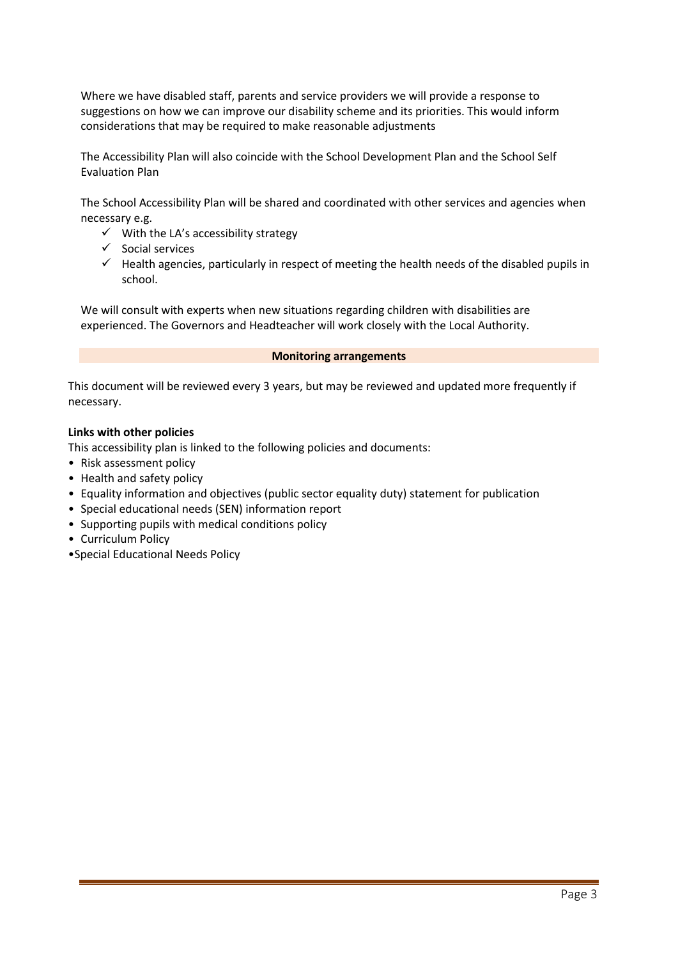Where we have disabled staff, parents and service providers we will provide a response to suggestions on how we can improve our disability scheme and its priorities. This would inform considerations that may be required to make reasonable adjustments

The Accessibility Plan will also coincide with the School Development Plan and the School Self Evaluation Plan

The School Accessibility Plan will be shared and coordinated with other services and agencies when necessary e.g.

- $\checkmark$  With the LA's accessibility strategy
- ✓ Social services
- $\checkmark$  Health agencies, particularly in respect of meeting the health needs of the disabled pupils in school.

We will consult with experts when new situations regarding children with disabilities are experienced. The Governors and Headteacher will work closely with the Local Authority.

#### **Monitoring arrangements**

This document will be reviewed every 3 years, but may be reviewed and updated more frequently if necessary.

### **Links with other policies**

This accessibility plan is linked to the following policies and documents:

- Risk assessment policy
- Health and safety policy
- Equality information and objectives (public sector equality duty) statement for publication
- Special educational needs (SEN) information report
- Supporting pupils with medical conditions policy
- Curriculum Policy
- •Special Educational Needs Policy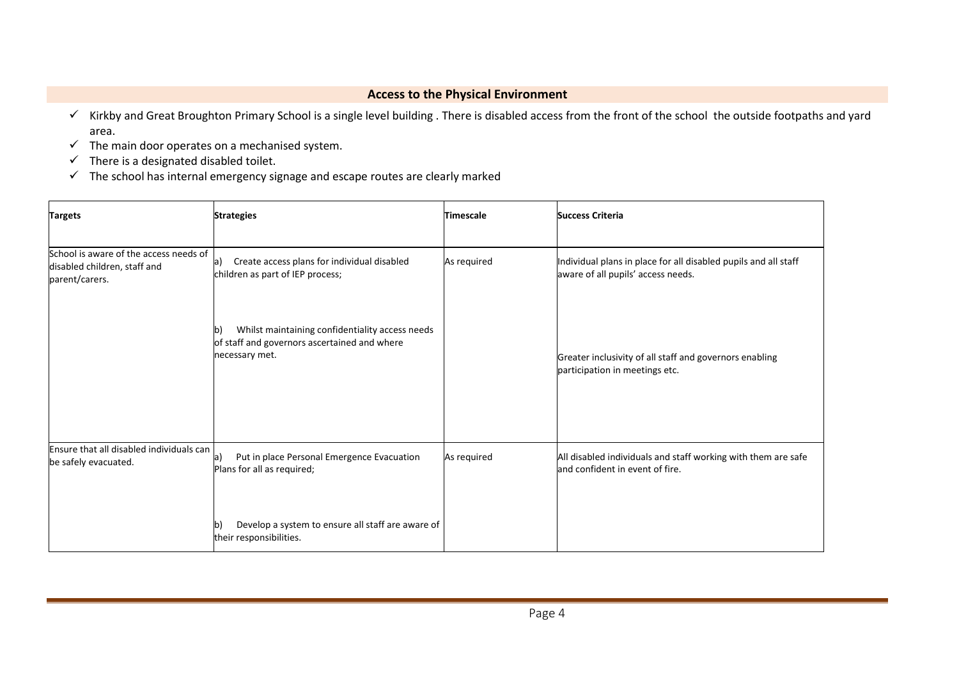# **Access to the Physical Environment**

- ✓ Kirkby and Great Broughton Primary School is a single level building . There is disabled access from the front of the school the outside footpaths and yard area.
- $\checkmark$  The main door operates on a mechanised system.
- $\checkmark$  There is a designated disabled toilet.
- ✓ The school has internal emergency signage and escape routes are clearly marked

| <b>Targets</b>                                                                           | <b>Strategies</b>                                                                                                       | <b>Timescale</b> | <b>Success Criteria</b>                                                                               |
|------------------------------------------------------------------------------------------|-------------------------------------------------------------------------------------------------------------------------|------------------|-------------------------------------------------------------------------------------------------------|
| School is aware of the access needs of<br>disabled children, staff and<br>parent/carers. | Create access plans for individual disabled<br>a)<br>children as part of IEP process;                                   | As required      | Individual plans in place for all disabled pupils and all staff<br>aware of all pupils' access needs. |
|                                                                                          | Whilst maintaining confidentiality access needs<br>b)<br>of staff and governors ascertained and where<br>necessary met. |                  | Greater inclusivity of all staff and governors enabling<br>participation in meetings etc.             |
| Ensure that all disabled individuals can<br>be safely evacuated.                         | Put in place Personal Emergence Evacuation<br>la I<br>Plans for all as required;                                        | As required      | All disabled individuals and staff working with them are safe<br>and confident in event of fire.      |
|                                                                                          | Develop a system to ensure all staff are aware of<br>their responsibilities.                                            |                  |                                                                                                       |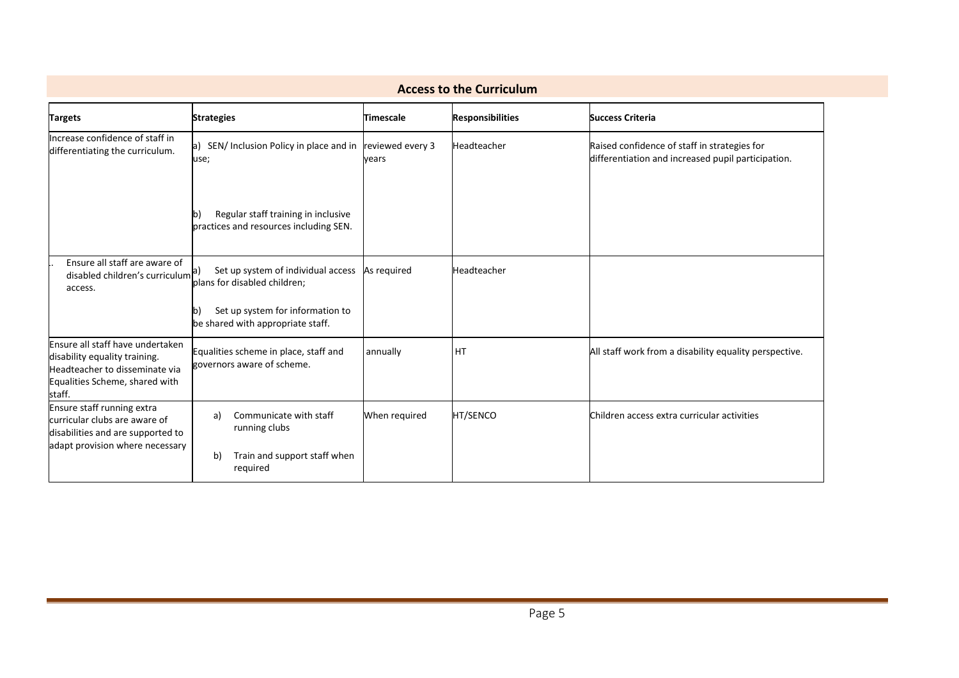| <b>Access to the Curriculum</b>                                                                                                                 |                                                                                     |                  |                         |                                                                                                    |  |
|-------------------------------------------------------------------------------------------------------------------------------------------------|-------------------------------------------------------------------------------------|------------------|-------------------------|----------------------------------------------------------------------------------------------------|--|
| <b>Targets</b>                                                                                                                                  | <b>Strategies</b>                                                                   | <b>Timescale</b> | <b>Responsibilities</b> | <b>Success Criteria</b>                                                                            |  |
| Increase confidence of staff in<br>differentiating the curriculum.                                                                              | a) SEN/ Inclusion Policy in place and in reviewed every 3<br>use;                   | vears            | Headteacher             | Raised confidence of staff in strategies for<br>differentiation and increased pupil participation. |  |
|                                                                                                                                                 | Regular staff training in inclusive<br>b)<br>practices and resources including SEN. |                  |                         |                                                                                                    |  |
| Ensure all staff are aware of<br>disabled children's curriculum <sup>a)</sup><br>access.                                                        | Set up system of individual access As required<br>plans for disabled children;      |                  | Headteacher             |                                                                                                    |  |
|                                                                                                                                                 | Set up system for information to<br>lb)<br>be shared with appropriate staff.        |                  |                         |                                                                                                    |  |
| Ensure all staff have undertaken<br>disability equality training.<br>Headteacher to disseminate via<br>Equalities Scheme, shared with<br>staff. | Equalities scheme in place, staff and<br>governors aware of scheme.                 | annually         | <b>HT</b>               | All staff work from a disability equality perspective.                                             |  |
| Ensure staff running extra<br>curricular clubs are aware of<br>disabilities and are supported to<br>adapt provision where necessary             | Communicate with staff<br>a)<br>running clubs                                       | When required    | HT/SENCO                | Children access extra curricular activities                                                        |  |
|                                                                                                                                                 | Train and support staff when<br>b)<br>required                                      |                  |                         |                                                                                                    |  |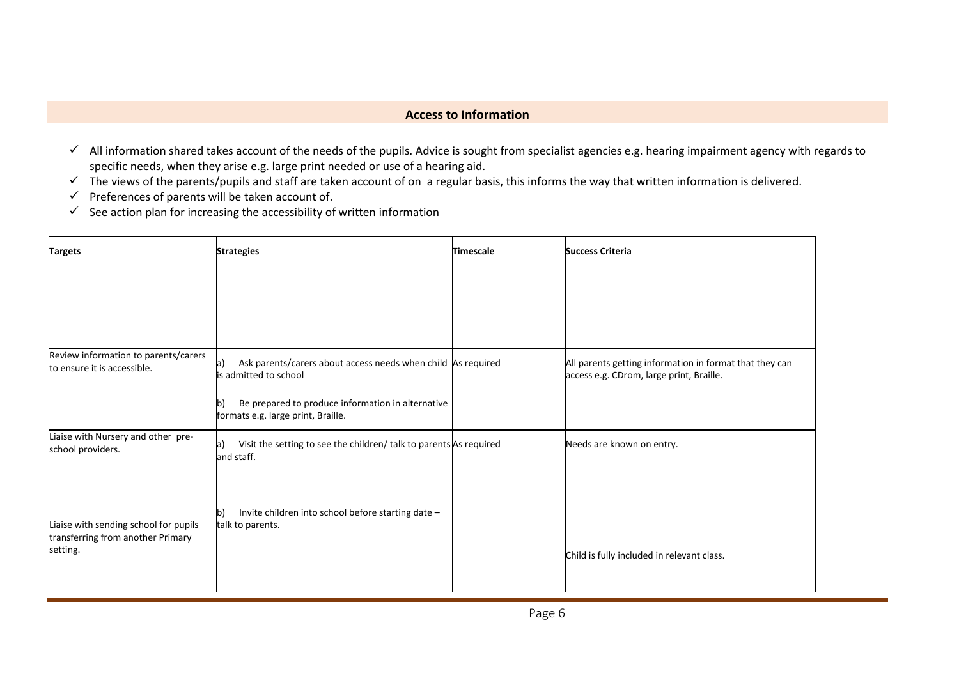# **Access to Information**

- ✓ All information shared takes account of the needs of the pupils. Advice is sought from specialist agencies e.g. hearing impairment agency with regards to specific needs, when they arise e.g. large print needed or use of a hearing aid.
- ✓ The views of the parents/pupils and staff are taken account of on a regular basis, this informs the way that written information is delivered.
- Preferences of parents will be taken account of.
- $\checkmark$  See action plan for increasing the accessibility of written information

| <b>Targets</b>                                                                         | <b>Strategies</b>                                                                                                                                                                            | Timescale | <b>Success Criteria</b>                                                                             |
|----------------------------------------------------------------------------------------|----------------------------------------------------------------------------------------------------------------------------------------------------------------------------------------------|-----------|-----------------------------------------------------------------------------------------------------|
|                                                                                        |                                                                                                                                                                                              |           |                                                                                                     |
| Review information to parents/carers<br>to ensure it is accessible.                    | Ask parents/carers about access needs when child As required<br>a)<br>is admitted to school<br>Be prepared to produce information in alternative<br>b)<br>formats e.g. large print, Braille. |           | All parents getting information in format that they can<br>access e.g. CDrom, large print, Braille. |
| Liaise with Nursery and other pre-<br>school providers.                                | Visit the setting to see the children/ talk to parents As required<br>la)<br>and staff.                                                                                                      |           | Needs are known on entry.                                                                           |
| Liaise with sending school for pupils<br>transferring from another Primary<br>setting. | Invite children into school before starting date -<br>$\mathsf{b}$<br>talk to parents.                                                                                                       |           | Child is fully included in relevant class.                                                          |